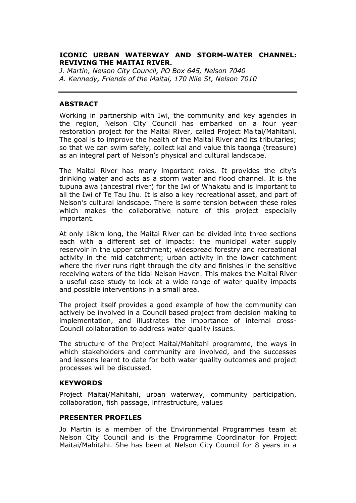## **ICONIC URBAN WATERWAY AND STORM-WATER CHANNEL: REVIVING THE MAITAI RIVER.**

*J. Martin, Nelson City Council, PO Box 645, Nelson 7040 A. Kennedy, Friends of the Maitai, 170 Nile St, Nelson 7010*

## **ABSTRACT**

Working in partnership with Iwi, the community and key agencies in the region, Nelson City Council has embarked on a four year restoration project for the Maitai River, called Project Maitai/Mahitahi. The goal is to improve the health of the Maitai River and its tributaries; so that we can swim safely, collect kai and value this taonga (treasure) as an integral part of Nelson's physical and cultural landscape.

The Maitai River has many important roles. It provides the city's drinking water and acts as a storm water and flood channel. It is the tupuna awa (ancestral river) for the Iwi of Whakatu and is important to all the Iwi of Te Tau Ihu. It is also a key recreational asset, and part of Nelson's cultural landscape. There is some tension between these roles which makes the collaborative nature of this project especially important.

At only 18km long, the Maitai River can be divided into three sections each with a different set of impacts: the municipal water supply reservoir in the upper catchment; widespread forestry and recreational activity in the mid catchment; urban activity in the lower catchment where the river runs right through the city and finishes in the sensitive receiving waters of the tidal Nelson Haven. This makes the Maitai River a useful case study to look at a wide range of water quality impacts and possible interventions in a small area.

The project itself provides a good example of how the community can actively be involved in a Council based project from decision making to implementation, and illustrates the importance of internal cross-Council collaboration to address water quality issues.

The structure of the Project Maitai/Mahitahi programme, the ways in which stakeholders and community are involved, and the successes and lessons learnt to date for both water quality outcomes and project processes will be discussed.

#### **KEYWORDS**

Project Maitai/Mahitahi, urban waterway, community participation, collaboration, fish passage, infrastructure, values

#### **PRESENTER PROFILES**

Jo Martin is a member of the Environmental Programmes team at Nelson City Council and is the Programme Coordinator for Project Maitai/Mahitahi. She has been at Nelson City Council for 8 years in a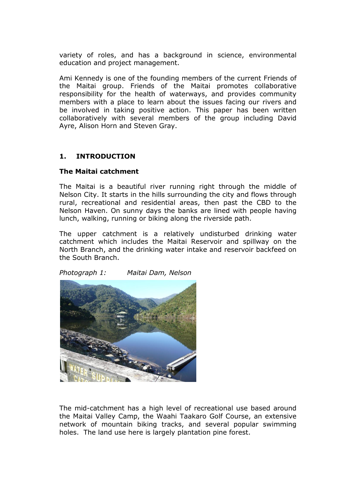variety of roles, and has a background in science, environmental education and project management.

Ami Kennedy is one of the founding members of the current Friends of the Maitai group. Friends of the Maitai promotes collaborative responsibility for the health of waterways, and provides community members with a place to learn about the issues facing our rivers and be involved in taking positive action. This paper has been written collaboratively with several members of the group including David Ayre, Alison Horn and Steven Gray.

# **1. INTRODUCTION**

# **The Maitai catchment**

The Maitai is a beautiful river running right through the middle of Nelson City. It starts in the hills surrounding the city and flows through rural, recreational and residential areas, then past the CBD to the Nelson Haven. On sunny days the banks are lined with people having lunch, walking, running or biking along the riverside path.

The upper catchment is a relatively undisturbed drinking water catchment which includes the Maitai Reservoir and spillway on the North Branch, and the drinking water intake and reservoir backfeed on the South Branch.

*Photograph 1: Maitai Dam, Nelson*



The mid-catchment has a high level of recreational use based around the Maitai Valley Camp, the Waahi Taakaro Golf Course, an extensive network of mountain biking tracks, and several popular swimming holes. The land use here is largely plantation pine forest.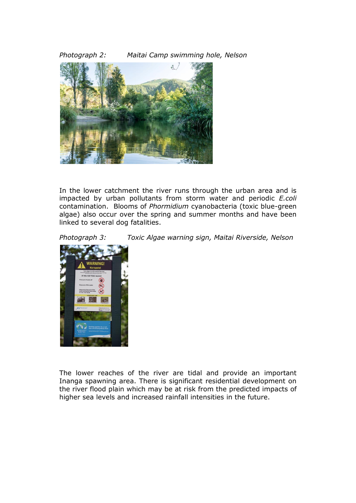*Photograph 2: Maitai Camp swimming hole, Nelson*



In the lower catchment the river runs through the urban area and is impacted by urban pollutants from storm water and periodic *E.coli* contamination. Blooms of *Phormidium* cyanobacteria (toxic blue-green algae) also occur over the spring and summer months and have been linked to several dog fatalities.

*Photograph 3: Toxic Algae warning sign, Maitai Riverside, Nelson*



The lower reaches of the river are tidal and provide an important Inanga spawning area. There is significant residential development on the river flood plain which may be at risk from the predicted impacts of higher sea levels and increased rainfall intensities in the future.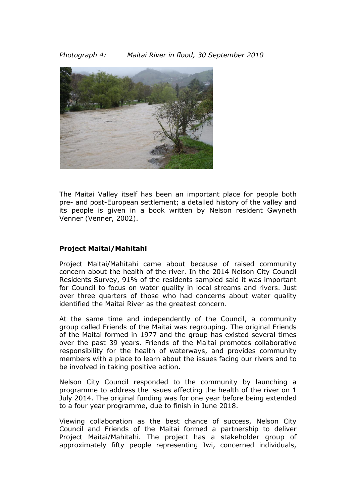*Photograph 4: Maitai River in flood, 30 September 2010*



The Maitai Valley itself has been an important place for people both pre- and post-European settlement; a detailed history of the valley and its people is given in a book written by Nelson resident Gwyneth Venner (Venner, 2002).

# **Project Maitai/Mahitahi**

Project Maitai/Mahitahi came about because of raised community concern about the health of the river. In the 2014 Nelson City Council Residents Survey, 91% of the residents sampled said it was important for Council to focus on water quality in local streams and rivers. Just over three quarters of those who had concerns about water quality identified the Maitai River as the greatest concern.

At the same time and independently of the Council, a community group called Friends of the Maitai was regrouping. The original Friends of the Maitai formed in 1977 and the group has existed several times over the past 39 years. Friends of the Maitai promotes collaborative responsibility for the health of waterways, and provides community members with a place to learn about the issues facing our rivers and to be involved in taking positive action.

Nelson City Council responded to the community by launching a programme to address the issues affecting the health of the river on 1 July 2014. The original funding was for one year before being extended to a four year programme, due to finish in June 2018.

Viewing collaboration as the best chance of success, Nelson City Council and Friends of the Maitai formed a partnership to deliver Project Maitai/Mahitahi. The project has a stakeholder group of approximately fifty people representing Iwi, concerned individuals,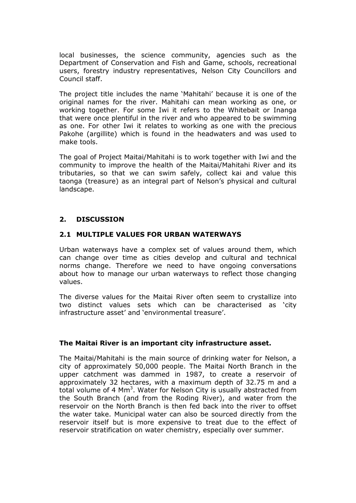local businesses, the science community, agencies such as the Department of Conservation and Fish and Game, schools, recreational users, forestry industry representatives, Nelson City Councillors and Council staff.

The project title includes the name 'Mahitahi' because it is one of the original names for the river. Mahitahi can mean working as one, or working together. For some Iwi it refers to the Whitebait or Inanga that were once plentiful in the river and who appeared to be swimming as one. For other Iwi it relates to working as one with the precious Pakohe (argillite) which is found in the headwaters and was used to make tools.

The goal of Project Maitai/Mahitahi is to work together with Iwi and the community to improve the health of the Maitai/Mahitahi River and its tributaries, so that we can swim safely, collect kai and value this taonga (treasure) as an integral part of Nelson's physical and cultural landscape.

# **2. DISCUSSION**

# **2.1 MULTIPLE VALUES FOR URBAN WATERWAYS**

Urban waterways have a complex set of values around them, which can change over time as cities develop and cultural and technical norms change. Therefore we need to have ongoing conversations about how to manage our urban waterways to reflect those changing values.

The diverse values for the Maitai River often seem to crystallize into two distinct values sets which can be characterised as 'city infrastructure asset' and 'environmental treasure'.

#### **The Maitai River is an important city infrastructure asset.**

The Maitai/Mahitahi is the main source of drinking water for Nelson, a city of approximately 50,000 people. The Maitai North Branch in the upper catchment was dammed in 1987, to create a reservoir of approximately 32 hectares, with a maximum depth of 32.75 m and a total volume of 4 Mm<sup>3</sup>. Water for Nelson City is usually abstracted from the South Branch (and from the Roding River), and water from the reservoir on the North Branch is then fed back into the river to offset the water take. Municipal water can also be sourced directly from the reservoir itself but is more expensive to treat due to the effect of reservoir stratification on water chemistry, especially over summer.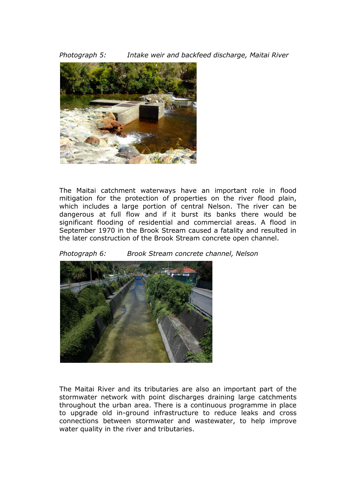*Photograph 5: Intake weir and backfeed discharge, Maitai River*



The Maitai catchment waterways have an important role in flood mitigation for the protection of properties on the river flood plain, which includes a large portion of central Nelson. The river can be dangerous at full flow and if it burst its banks there would be significant flooding of residential and commercial areas. A flood in September 1970 in the Brook Stream caused a fatality and resulted in the later construction of the Brook Stream concrete open channel.

*Photograph 6: Brook Stream concrete channel, Nelson*



The Maitai River and its tributaries are also an important part of the stormwater network with point discharges draining large catchments throughout the urban area. There is a continuous programme in place to upgrade old in-ground infrastructure to reduce leaks and cross connections between stormwater and wastewater, to help improve water quality in the river and tributaries.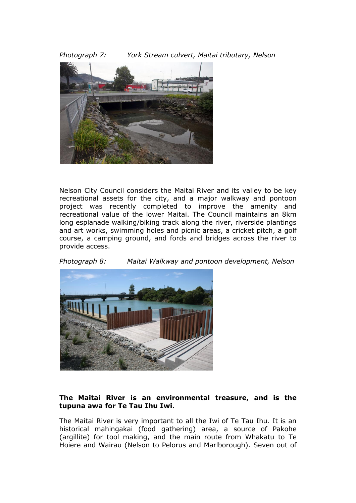*Photograph 7: York Stream culvert, Maitai tributary, Nelson*



Nelson City Council considers the Maitai River and its valley to be key recreational assets for the city, and a major walkway and pontoon project was recently completed to improve the amenity and recreational value of the lower Maitai. The Council maintains an 8km long esplanade walking/biking track along the river, riverside plantings and art works, swimming holes and picnic areas, a cricket pitch, a golf course, a camping ground, and fords and bridges across the river to provide access.

*Photograph 8: Maitai Walkway and pontoon development, Nelson*



## **The Maitai River is an environmental treasure, and is the tupuna awa for Te Tau Ihu Iwi.**

The Maitai River is very important to all the Iwi of Te Tau Ihu. It is an historical mahingakai (food gathering) area, a source of Pakohe (argillite) for tool making, and the main route from Whakatu to Te Hoiere and Wairau (Nelson to Pelorus and Marlborough). Seven out of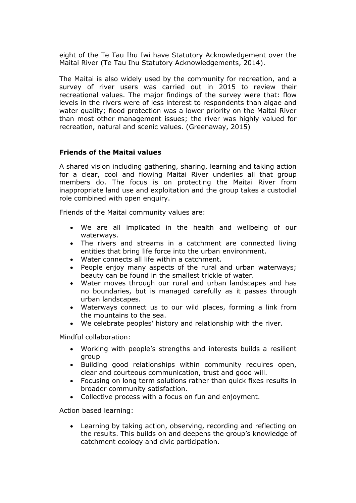eight of the Te Tau Ihu Iwi have Statutory Acknowledgement over the Maitai River (Te Tau Ihu Statutory Acknowledgements, 2014).

The Maitai is also widely used by the community for recreation, and a survey of river users was carried out in 2015 to review their recreational values. The major findings of the survey were that: flow levels in the rivers were of less interest to respondents than algae and water quality; flood protection was a lower priority on the Maitai River than most other management issues; the river was highly valued for recreation, natural and scenic values. (Greenaway, 2015)

## **Friends of the Maitai values**

A shared vision including gathering, sharing, learning and taking action for a clear, cool and flowing Maitai River underlies all that group members do. The focus is on protecting the Maitai River from inappropriate land use and exploitation and the group takes a custodial role combined with open enquiry.

Friends of the Maitai community values are:

- We are all implicated in the health and wellbeing of our waterways.
- The rivers and streams in a catchment are connected living entities that bring life force into the urban environment.
- Water connects all life within a catchment.
- People enjoy many aspects of the rural and urban waterways; beauty can be found in the smallest trickle of water.
- Water moves through our rural and urban landscapes and has no boundaries, but is managed carefully as it passes through urban landscapes.
- Waterways connect us to our wild places, forming a link from the mountains to the sea.
- We celebrate peoples' history and relationship with the river.

Mindful collaboration:

- Working with people's strengths and interests builds a resilient group
- Building good relationships within community requires open, clear and courteous communication, trust and good will.
- Focusing on long term solutions rather than quick fixes results in broader community satisfaction.
- Collective process with a focus on fun and enjoyment.

Action based learning:

 Learning by taking action, observing, recording and reflecting on the results. This builds on and deepens the group's knowledge of catchment ecology and civic participation.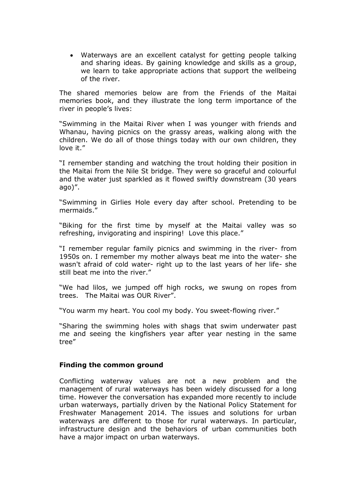Waterways are an excellent catalyst for getting people talking and sharing ideas. By gaining knowledge and skills as a group, we learn to take appropriate actions that support the wellbeing of the river.

The shared memories below are from the Friends of the Maitai memories book, and they illustrate the long term importance of the river in people's lives:

"Swimming in the Maitai River when I was younger with friends and Whanau, having picnics on the grassy areas, walking along with the children. We do all of those things today with our own children, they love it."

"I remember standing and watching the trout holding their position in the Maitai from the Nile St bridge. They were so graceful and colourful and the water just sparkled as it flowed swiftly downstream (30 years ago)".

"Swimming in Girlies Hole every day after school. Pretending to be mermaids."

"Biking for the first time by myself at the Maitai valley was so refreshing, invigorating and inspiring! Love this place."

"I remember regular family picnics and swimming in the river- from 1950s on. I remember my mother always beat me into the water- she wasn't afraid of cold water- right up to the last years of her life- she still beat me into the river."

"We had lilos, we jumped off high rocks, we swung on ropes from trees. The Maitai was OUR River".

"You warm my heart. You cool my body. You sweet-flowing river."

"Sharing the swimming holes with shags that swim underwater past me and seeing the kingfishers year after year nesting in the same tree"

#### **Finding the common ground**

Conflicting waterway values are not a new problem and the management of rural waterways has been widely discussed for a long time. However the conversation has expanded more recently to include urban waterways, partially driven by the National Policy Statement for Freshwater Management 2014. The issues and solutions for urban waterways are different to those for rural waterways. In particular, infrastructure design and the behaviors of urban communities both have a major impact on urban waterways.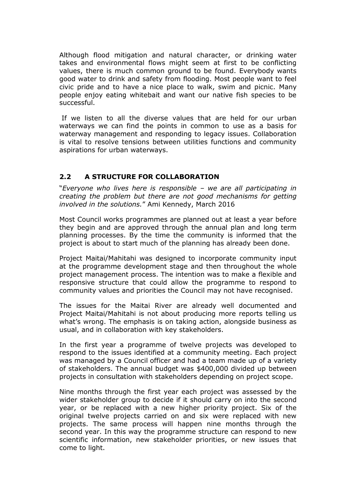Although flood mitigation and natural character, or drinking water takes and environmental flows might seem at first to be conflicting values, there is much common ground to be found. Everybody wants good water to drink and safety from flooding. Most people want to feel civic pride and to have a nice place to walk, swim and picnic. Many people enjoy eating whitebait and want our native fish species to be successful.

If we listen to all the diverse values that are held for our urban waterways we can find the points in common to use as a basis for waterway management and responding to legacy issues. Collaboration is vital to resolve tensions between utilities functions and community aspirations for urban waterways.

# **2.2 A STRUCTURE FOR COLLABORATION**

"*Everyone who lives here is responsible – we are all participating in creating the problem but there are not good mechanisms for getting involved in the solutions.*" Ami Kennedy, March 2016

Most Council works programmes are planned out at least a year before they begin and are approved through the annual plan and long term planning processes. By the time the community is informed that the project is about to start much of the planning has already been done.

Project Maitai/Mahitahi was designed to incorporate community input at the programme development stage and then throughout the whole project management process. The intention was to make a flexible and responsive structure that could allow the programme to respond to community values and priorities the Council may not have recognised.

The issues for the Maitai River are already well documented and Project Maitai/Mahitahi is not about producing more reports telling us what's wrong. The emphasis is on taking action, alongside business as usual, and in collaboration with key stakeholders.

In the first year a programme of twelve projects was developed to respond to the issues identified at a community meeting. Each project was managed by a Council officer and had a team made up of a variety of stakeholders. The annual budget was \$400,000 divided up between projects in consultation with stakeholders depending on project scope.

Nine months through the first year each project was assessed by the wider stakeholder group to decide if it should carry on into the second year, or be replaced with a new higher priority project. Six of the original twelve projects carried on and six were replaced with new projects. The same process will happen nine months through the second year. In this way the programme structure can respond to new scientific information, new stakeholder priorities, or new issues that come to light.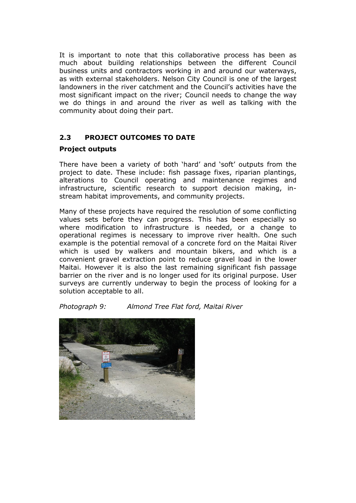It is important to note that this collaborative process has been as much about building relationships between the different Council business units and contractors working in and around our waterways, as with external stakeholders. Nelson City Council is one of the largest landowners in the river catchment and the Council's activities have the most significant impact on the river; Council needs to change the way we do things in and around the river as well as talking with the community about doing their part.

# **2.3 PROJECT OUTCOMES TO DATE**

# **Project outputs**

There have been a variety of both 'hard' and 'soft' outputs from the project to date. These include: fish passage fixes, riparian plantings, alterations to Council operating and maintenance regimes and infrastructure, scientific research to support decision making, instream habitat improvements, and community projects.

Many of these projects have required the resolution of some conflicting values sets before they can progress. This has been especially so where modification to infrastructure is needed, or a change to operational regimes is necessary to improve river health. One such example is the potential removal of a concrete ford on the Maitai River which is used by walkers and mountain bikers, and which is a convenient gravel extraction point to reduce gravel load in the lower Maitai. However it is also the last remaining significant fish passage barrier on the river and is no longer used for its original purpose. User surveys are currently underway to begin the process of looking for a solution acceptable to all.

*Photograph 9: Almond Tree Flat ford, Maitai River*

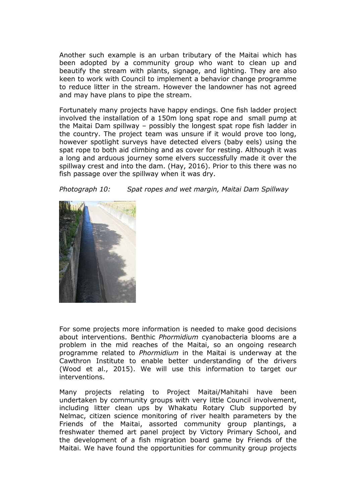Another such example is an urban tributary of the Maitai which has been adopted by a community group who want to clean up and beautify the stream with plants, signage, and lighting. They are also keen to work with Council to implement a behavior change programme to reduce litter in the stream. However the landowner has not agreed and may have plans to pipe the stream.

Fortunately many projects have happy endings. One fish ladder project involved the installation of a 150m long spat rope and small pump at the Maitai Dam spillway – possibly the longest spat rope fish ladder in the country. The project team was unsure if it would prove too long, however spotlight surveys have detected elvers (baby eels) using the spat rope to both aid climbing and as cover for resting. Although it was a long and arduous journey some elvers successfully made it over the spillway crest and into the dam. (Hay, 2016). Prior to this there was no fish passage over the spillway when it was dry.

*Photograph 10: Spat ropes and wet margin, Maitai Dam Spillway*



For some projects more information is needed to make good decisions about interventions. Benthic *Phormidium* cyanobacteria blooms are a problem in the mid reaches of the Maitai, so an ongoing research programme related to *Phormidium* in the Maitai is underway at the Cawthron Institute to enable better understanding of the drivers (Wood et al., 2015). We will use this information to target our interventions.

Many projects relating to Project Maitai/Mahitahi have been undertaken by community groups with very little Council involvement, including litter clean ups by Whakatu Rotary Club supported by Nelmac, citizen science monitoring of river health parameters by the Friends of the Maitai, assorted community group plantings, a freshwater themed art panel project by Victory Primary School, and the development of a fish migration board game by Friends of the Maitai. We have found the opportunities for community group projects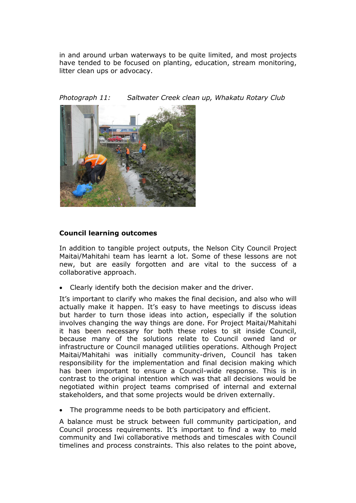in and around urban waterways to be quite limited, and most projects have tended to be focused on planting, education, stream monitoring, litter clean ups or advocacy.

*Photograph 11: Saltwater Creek clean up, Whakatu Rotary Club*



# **Council learning outcomes**

In addition to tangible project outputs, the Nelson City Council Project Maitai/Mahitahi team has learnt a lot. Some of these lessons are not new, but are easily forgotten and are vital to the success of a collaborative approach.

Clearly identify both the decision maker and the driver.

It's important to clarify who makes the final decision, and also who will actually make it happen. It's easy to have meetings to discuss ideas but harder to turn those ideas into action, especially if the solution involves changing the way things are done. For Project Maitai/Mahitahi it has been necessary for both these roles to sit inside Council, because many of the solutions relate to Council owned land or infrastructure or Council managed utilities operations. Although Project Maitai/Mahitahi was initially community-driven, Council has taken responsibility for the implementation and final decision making which has been important to ensure a Council-wide response. This is in contrast to the original intention which was that all decisions would be negotiated within project teams comprised of internal and external stakeholders, and that some projects would be driven externally.

The programme needs to be both participatory and efficient.

A balance must be struck between full community participation, and Council process requirements. It's important to find a way to meld community and Iwi collaborative methods and timescales with Council timelines and process constraints. This also relates to the point above,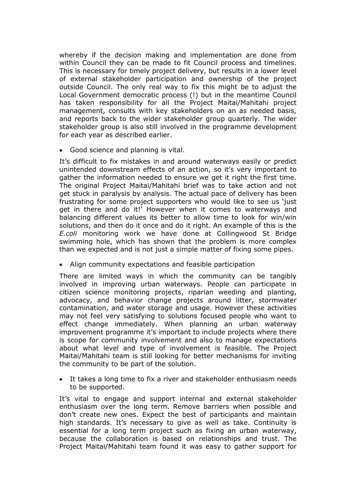whereby if the decision making and implementation are done from within Council they can be made to fit Council process and timelines. This is necessary for timely project delivery, but results in a lower level of external stakeholder participation and ownership of the project outside Council. The only real way to fix this might be to adjust the Local Government democratic process (!) but in the meantime Council has taken responsibility for all the Project Maitai/Mahitahi project management, consults with key stakeholders on an as needed basis, and reports back to the wider stakeholder group quarterly. The wider stakeholder group is also still involved in the programme development for each year as described earlier.

Good science and planning is vital.

It's difficult to fix mistakes in and around waterways easily or predict unintended downstream effects of an action, so it's very important to gather the information needed to ensure we get it right the first time. The original Project Maitai/Mahitahi brief was to take action and not get stuck in paralysis by analysis. The actual pace of delivery has been frustrating for some project supporters who would like to see us 'just get in there and do it!' However when it comes to waterways and balancing different values its better to allow time to look for win/win solutions, and then do it once and do it right. An example of this is the *E.coli* monitoring work we have done at Collingwood St Bridge swimming hole, which has shown that the problem is more complex than we expected and is not just a simple matter of fixing some pipes.

Align community expectations and feasible participation

There are limited ways in which the community can be tangibly involved in improving urban waterways. People can participate in citizen science monitoring projects, riparian weeding and planting, advocacy, and behavior change projects around litter, stormwater contamination, and water storage and usage. However these activities may not feel very satisfying to solutions focused people who want to effect change immediately. When planning an urban waterway improvement programme it's important to include projects where there is scope for community involvement and also to manage expectations about what level and type of involvement is feasible. The Project Maitai/Mahitahi team is still looking for better mechanisms for inviting the community to be part of the solution.

 It takes a long time to fix a river and stakeholder enthusiasm needs to be supported.

It's vital to engage and support internal and external stakeholder enthusiasm over the long term. Remove barriers when possible and don't create new ones. Expect the best of participants and maintain high standards. It's necessary to give as well as take. Continuity is essential for a long term project such as fixing an urban waterway, because the collaboration is based on relationships and trust. The Project Maitai/Mahitahi team found it was easy to gather support for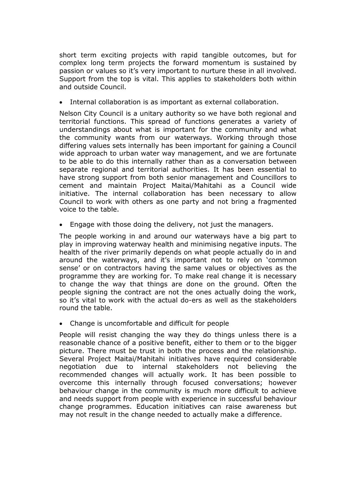short term exciting projects with rapid tangible outcomes, but for complex long term projects the forward momentum is sustained by passion or values so it's very important to nurture these in all involved. Support from the top is vital. This applies to stakeholders both within and outside Council.

Internal collaboration is as important as external collaboration.

Nelson City Council is a unitary authority so we have both regional and territorial functions. This spread of functions generates a variety of understandings about what is important for the community and what the community wants from our waterways. Working through those differing values sets internally has been important for gaining a Council wide approach to urban water way management, and we are fortunate to be able to do this internally rather than as a conversation between separate regional and territorial authorities. It has been essential to have strong support from both senior management and Councillors to cement and maintain Project Maitai/Mahitahi as a Council wide initiative. The internal collaboration has been necessary to allow Council to work with others as one party and not bring a fragmented voice to the table.

Engage with those doing the delivery, not just the managers.

The people working in and around our waterways have a big part to play in improving waterway health and minimising negative inputs. The health of the river primarily depends on what people actually do in and around the waterways, and it's important not to rely on 'common sense' or on contractors having the same values or objectives as the programme they are working for. To make real change it is necessary to change the way that things are done on the ground. Often the people signing the contract are not the ones actually doing the work, so it's vital to work with the actual do-ers as well as the stakeholders round the table.

Change is uncomfortable and difficult for people

People will resist changing the way they do things unless there is a reasonable chance of a positive benefit, either to them or to the bigger picture. There must be trust in both the process and the relationship. Several Project Maitai/Mahitahi initiatives have required considerable negotiation due to internal stakeholders not believing the recommended changes will actually work. It has been possible to overcome this internally through focused conversations; however behaviour change in the community is much more difficult to achieve and needs support from people with experience in successful behaviour change programmes. Education initiatives can raise awareness but may not result in the change needed to actually make a difference.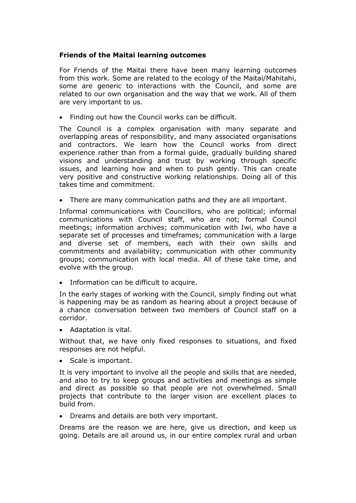## **Friends of the Maitai learning outcomes**

For Friends of the Maitai there have been many learning outcomes from this work. Some are related to the ecology of the Maitai/Mahitahi, some are generic to interactions with the Council, and some are related to our own organisation and the way that we work. All of them are very important to us.

Finding out how the Council works can be difficult.

The Council is a complex organisation with many separate and overlapping areas of responsibility, and many associated organisations and contractors. We learn how the Council works from direct experience rather than from a formal guide, gradually building shared visions and understanding and trust by working through specific issues, and learning how and when to push gently. This can create very positive and constructive working relationships. Doing all of this takes time and commitment.

There are many communication paths and they are all important.

Informal communications with Councillors, who are political; informal communications with Council staff, who are not; formal Council meetings; information archives; communication with Iwi, who have a separate set of processes and timeframes; communication with a large and diverse set of members, each with their own skills and commitments and availability; communication with other community groups; communication with local media. All of these take time, and evolve with the group.

• Information can be difficult to acquire.

In the early stages of working with the Council, simply finding out what is happening may be as random as hearing about a project because of a chance conversation between two members of Council staff on a corridor.

Adaptation is vital.

Without that, we have only fixed responses to situations, and fixed responses are not helpful.

• Scale is important.

It is very important to involve all the people and skills that are needed, and also to try to keep groups and activities and meetings as simple and direct as possible so that people are not overwhelmed. Small projects that contribute to the larger vision are excellent places to build from.

Dreams and details are both very important.

Dreams are the reason we are here, give us direction, and keep us going. Details are all around us, in our entire complex rural and urban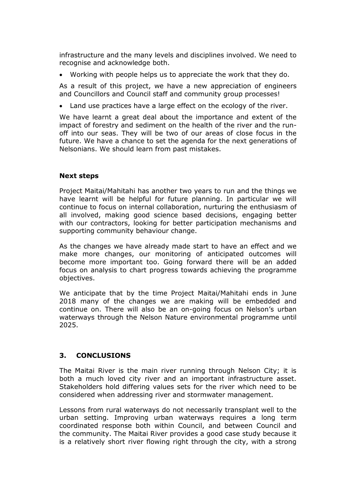infrastructure and the many levels and disciplines involved. We need to recognise and acknowledge both.

Working with people helps us to appreciate the work that they do.

As a result of this project, we have a new appreciation of engineers and Councillors and Council staff and community group processes!

Land use practices have a large effect on the ecology of the river.

We have learnt a great deal about the importance and extent of the impact of forestry and sediment on the health of the river and the runoff into our seas. They will be two of our areas of close focus in the future. We have a chance to set the agenda for the next generations of Nelsonians. We should learn from past mistakes.

## **Next steps**

Project Maitai/Mahitahi has another two years to run and the things we have learnt will be helpful for future planning. In particular we will continue to focus on internal collaboration, nurturing the enthusiasm of all involved, making good science based decisions, engaging better with our contractors, looking for better participation mechanisms and supporting community behaviour change.

As the changes we have already made start to have an effect and we make more changes, our monitoring of anticipated outcomes will become more important too. Going forward there will be an added focus on analysis to chart progress towards achieving the programme objectives.

We anticipate that by the time Project Maitai/Mahitahi ends in June 2018 many of the changes we are making will be embedded and continue on. There will also be an on-going focus on Nelson's urban waterways through the Nelson Nature environmental programme until 2025.

# **3. CONCLUSIONS**

The Maitai River is the main river running through Nelson City; it is both a much loved city river and an important infrastructure asset. Stakeholders hold differing values sets for the river which need to be considered when addressing river and stormwater management.

Lessons from rural waterways do not necessarily transplant well to the urban setting. Improving urban waterways requires a long term coordinated response both within Council, and between Council and the community. The Maitai River provides a good case study because it is a relatively short river flowing right through the city, with a strong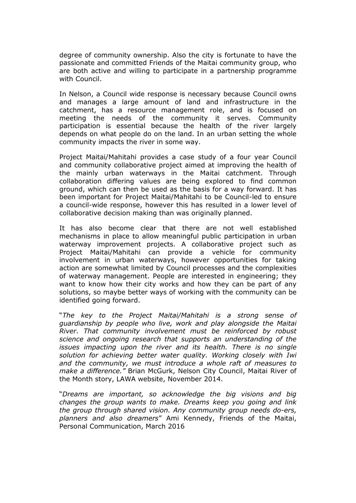degree of community ownership. Also the city is fortunate to have the passionate and committed Friends of the Maitai community group, who are both active and willing to participate in a partnership programme with Council.

In Nelson, a Council wide response is necessary because Council owns and manages a large amount of land and infrastructure in the catchment, has a resource management role, and is focused on meeting the needs of the community it serves. Community participation is essential because the health of the river largely depends on what people do on the land. In an urban setting the whole community impacts the river in some way.

Project Maitai/Mahitahi provides a case study of a four year Council and community collaborative project aimed at improving the health of the mainly urban waterways in the Maitai catchment. Through collaboration differing values are being explored to find common ground, which can then be used as the basis for a way forward. It has been important for Project Maitai/Mahitahi to be Council-led to ensure a council-wide response, however this has resulted in a lower level of collaborative decision making than was originally planned.

It has also become clear that there are not well established mechanisms in place to allow meaningful public participation in urban waterway improvement projects. A collaborative project such as Project Maitai/Mahitahi can provide a vehicle for community involvement in urban waterways, however opportunities for taking action are somewhat limited by Council processes and the complexities of waterway management. People are interested in engineering; they want to know how their city works and how they can be part of any solutions, so maybe better ways of working with the community can be identified going forward.

"*The key to the Project Maitai/Mahitahi is a strong sense of guardianship by people who live, work and play alongside the Maitai River. That community involvement must be reinforced by robust science and ongoing research that supports an understanding of the issues impacting upon the river and its health. There is no single solution for achieving better water quality. Working closely with Iwi and the community, we must introduce a whole raft of measures to make a difference."* Brian McGurk, Nelson City Council, Maitai River of the Month story, LAWA website, November 2014.

"*Dreams are important, so acknowledge the big visions and big changes the group wants to make. Dreams keep you going and link the group through shared vision. Any community group needs do-ers, planners and also dreamers*" Ami Kennedy, Friends of the Maitai, Personal Communication, March 2016